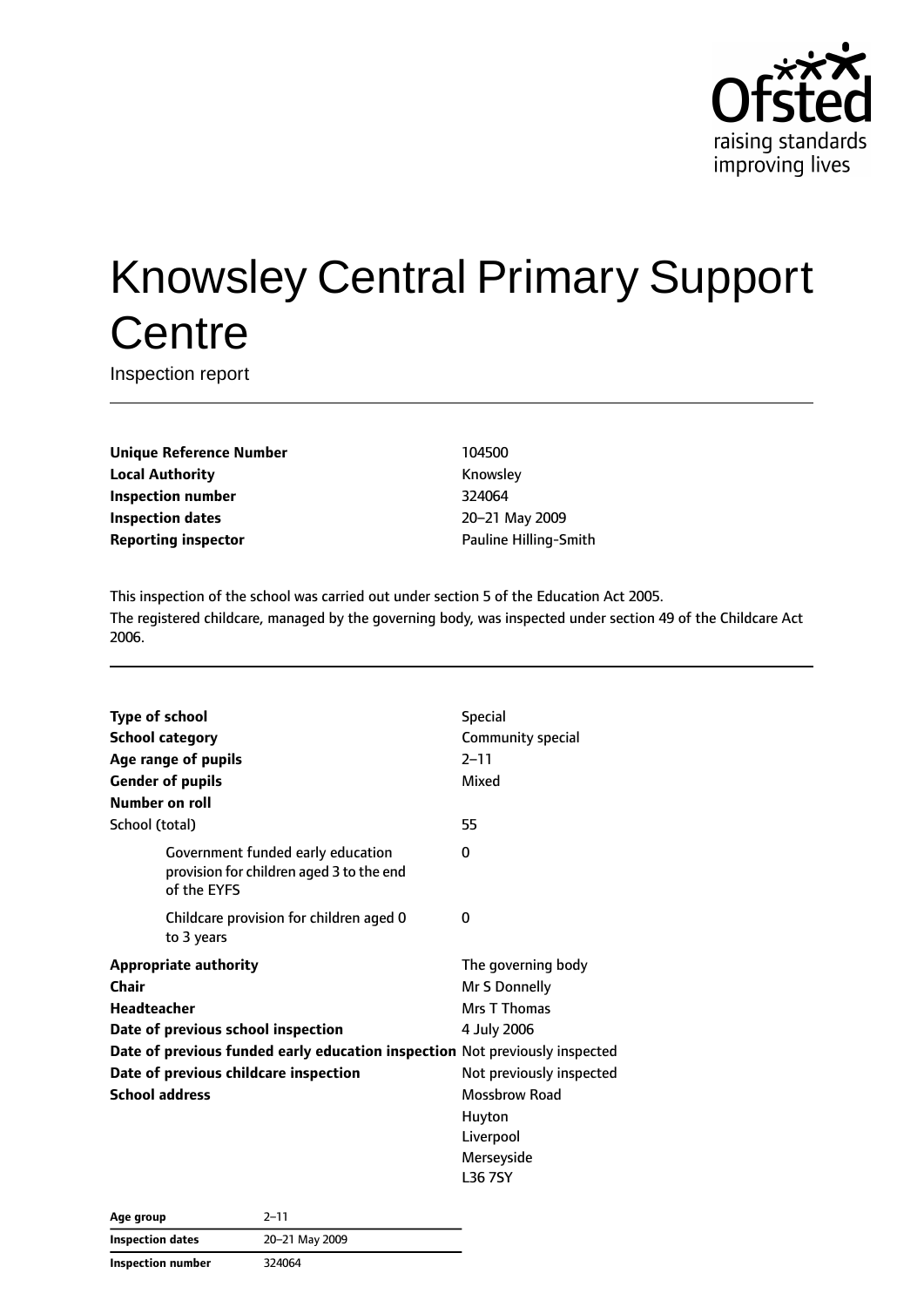

# Knowsley Central Primary Support **Centre**

Inspection report

**Unique Reference Number** 104500 **Local Authority Knowsley Inspection number** 324064 **Inspection dates** 20–21 May 2009 **Reporting inspector Contract Pauline Hilling-Smith** 

This inspection of the school was carried out under section 5 of the Education Act 2005. The registered childcare, managed by the governing body, was inspected under section 49 of the Childcare Act 2006.

| <b>Type of school</b>                                                       |                                                                                              | <b>Special</b>           |
|-----------------------------------------------------------------------------|----------------------------------------------------------------------------------------------|--------------------------|
| <b>School category</b>                                                      |                                                                                              | Community special        |
|                                                                             | Age range of pupils                                                                          | $2 - 11$                 |
|                                                                             | <b>Gender of pupils</b>                                                                      | Mixed                    |
| Number on roll                                                              |                                                                                              |                          |
| School (total)                                                              |                                                                                              | 55                       |
|                                                                             | Government funded early education<br>provision for children aged 3 to the end<br>of the EYFS | 0                        |
|                                                                             | Childcare provision for children aged 0<br>to 3 years                                        | 0                        |
|                                                                             | <b>Appropriate authority</b>                                                                 | The governing body       |
| Chair                                                                       |                                                                                              | Mr S Donnelly            |
| <b>Headteacher</b>                                                          |                                                                                              | Mrs T Thomas             |
| Date of previous school inspection                                          |                                                                                              | 4 July 2006              |
| Date of previous funded early education inspection Not previously inspected |                                                                                              |                          |
|                                                                             | Date of previous childcare inspection                                                        | Not previously inspected |
| <b>School address</b>                                                       |                                                                                              | <b>Mossbrow Road</b>     |
|                                                                             |                                                                                              | Huyton                   |
|                                                                             |                                                                                              | Liverpool                |
|                                                                             |                                                                                              | Merseyside               |
|                                                                             |                                                                                              | L36 7SY                  |

**Age group** 2–11 **Inspection dates** 20–21 May 2009 **Inspection number** 324064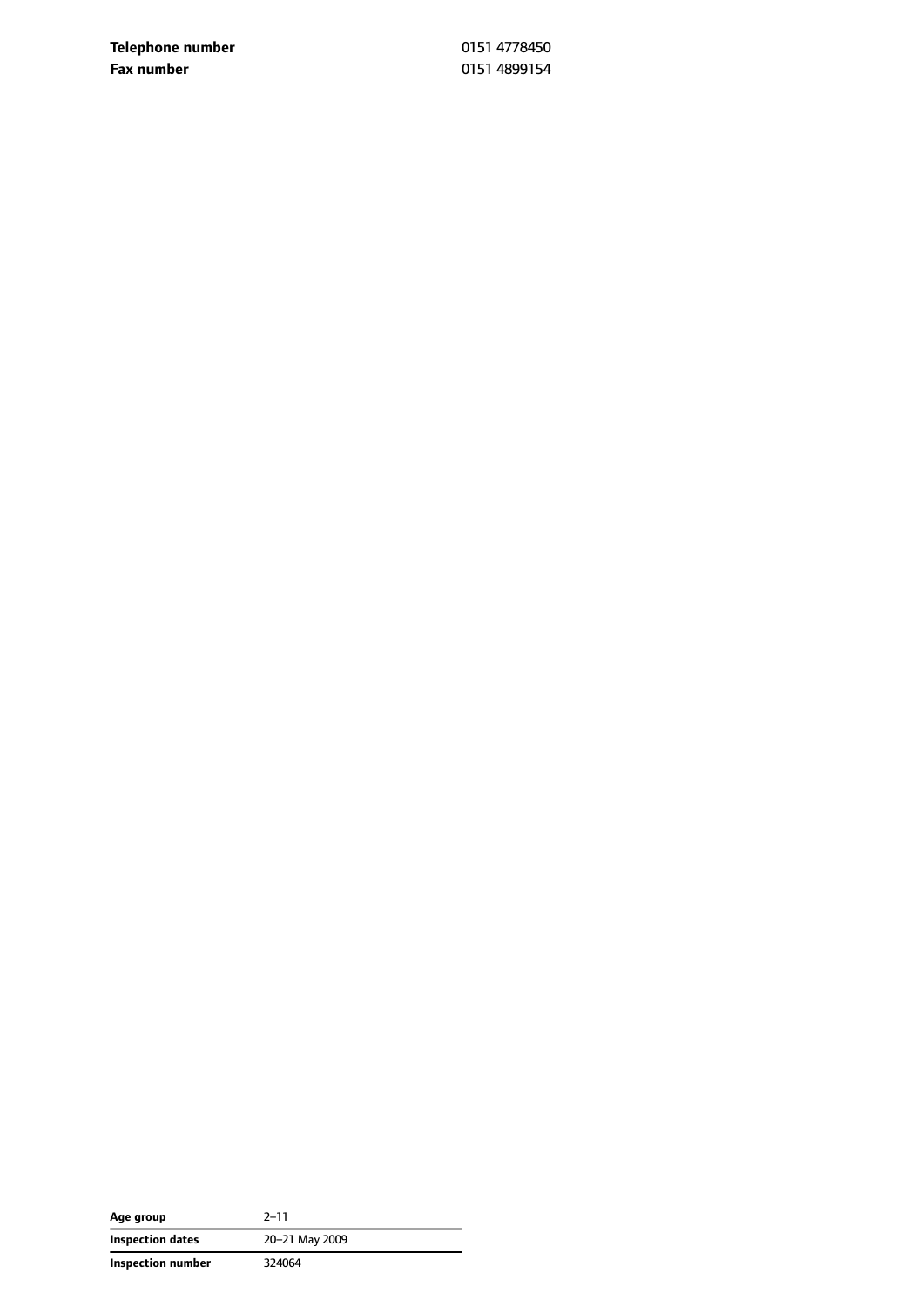**Telephone number** 0151 4778450 **Fax number** 0151 4899154

| Age group         | $2 - 11$       |
|-------------------|----------------|
| Inspection dates  | 20-21 May 2009 |
| Inspection number | 324064         |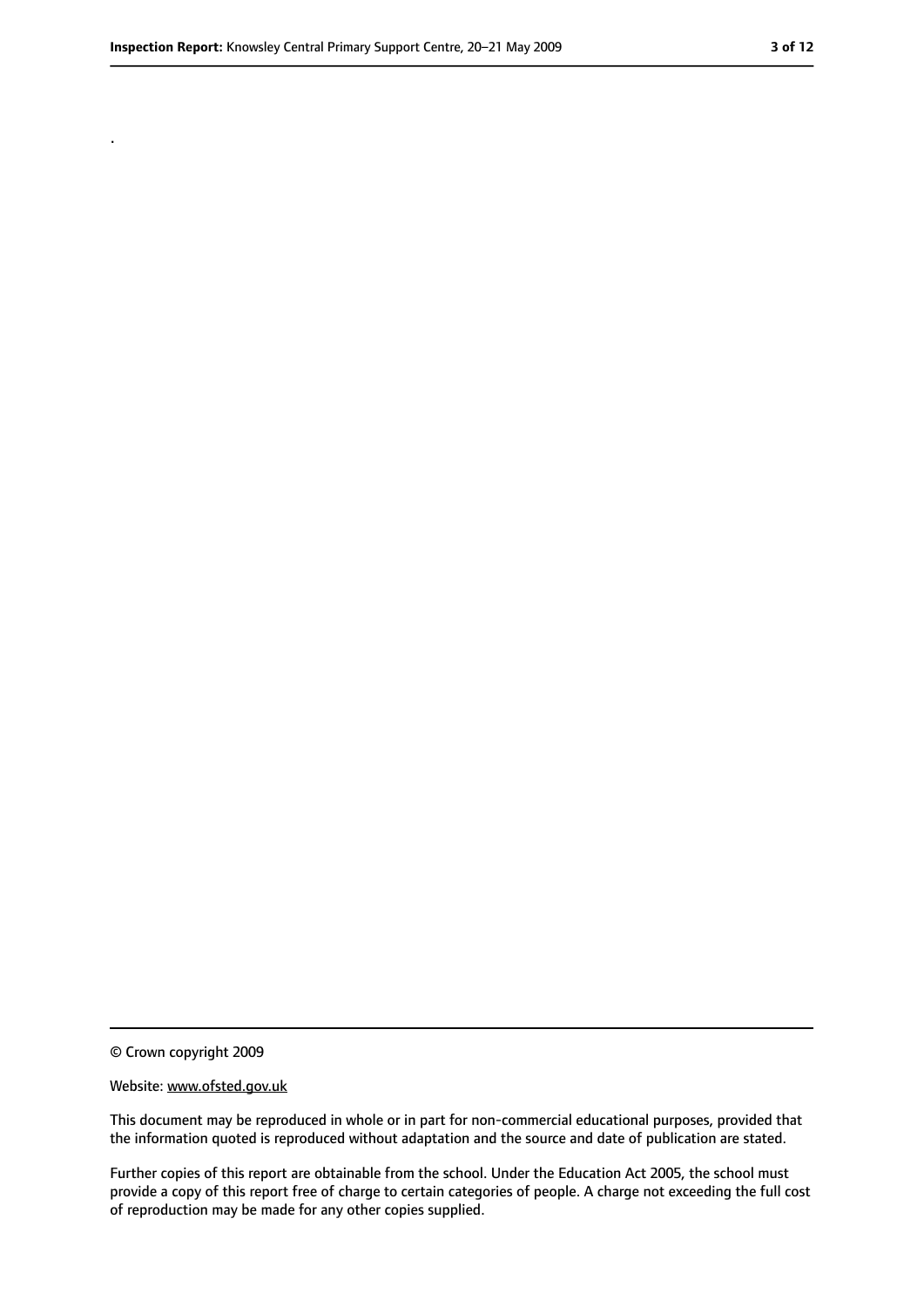.

<sup>©</sup> Crown copyright 2009

Website: www.ofsted.gov.uk

This document may be reproduced in whole or in part for non-commercial educational purposes, provided that the information quoted is reproduced without adaptation and the source and date of publication are stated.

Further copies of this report are obtainable from the school. Under the Education Act 2005, the school must provide a copy of this report free of charge to certain categories of people. A charge not exceeding the full cost of reproduction may be made for any other copies supplied.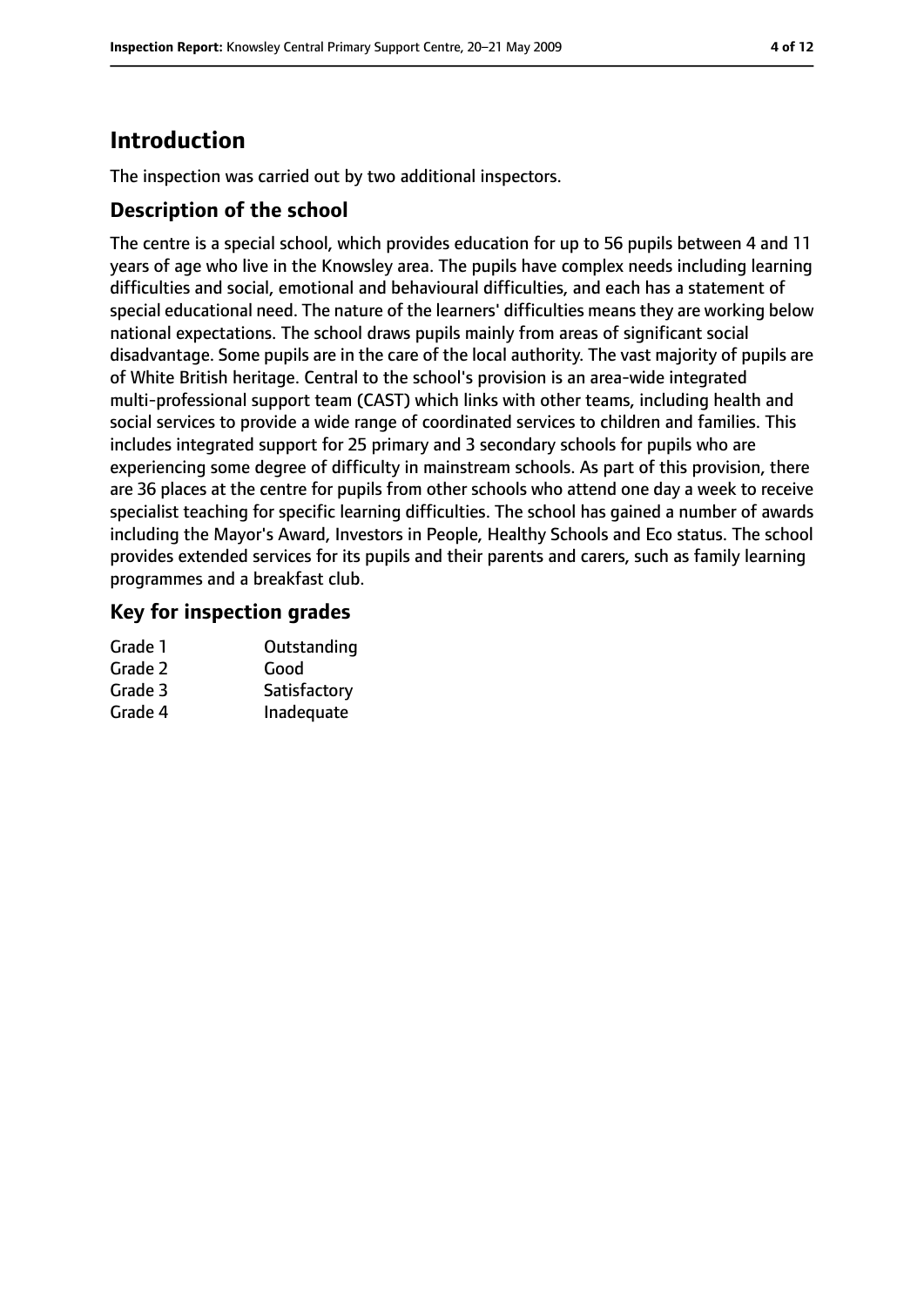# **Introduction**

The inspection was carried out by two additional inspectors.

## **Description of the school**

The centre is a special school, which provides education for up to 56 pupils between 4 and 11 years of age who live in the Knowsley area. The pupils have complex needs including learning difficulties and social, emotional and behavioural difficulties, and each has a statement of special educational need. The nature of the learners' difficulties means they are working below national expectations. The school draws pupils mainly from areas of significant social disadvantage. Some pupils are in the care of the local authority. The vast majority of pupils are of White British heritage. Central to the school's provision is an area-wide integrated multi-professional support team (CAST) which links with other teams, including health and social services to provide a wide range of coordinated services to children and families. This includes integrated support for 25 primary and 3 secondary schools for pupils who are experiencing some degree of difficulty in mainstream schools. As part of this provision, there are 36 places at the centre for pupils from other schools who attend one day a week to receive specialist teaching for specific learning difficulties. The school has gained a number of awards including the Mayor's Award, Investors in People, Healthy Schools and Eco status. The school provides extended services for its pupils and their parents and carers, such as family learning programmes and a breakfast club.

# **Key for inspection grades**

| Outstanding  |
|--------------|
| Good         |
| Satisfactory |
| Inadequate   |
|              |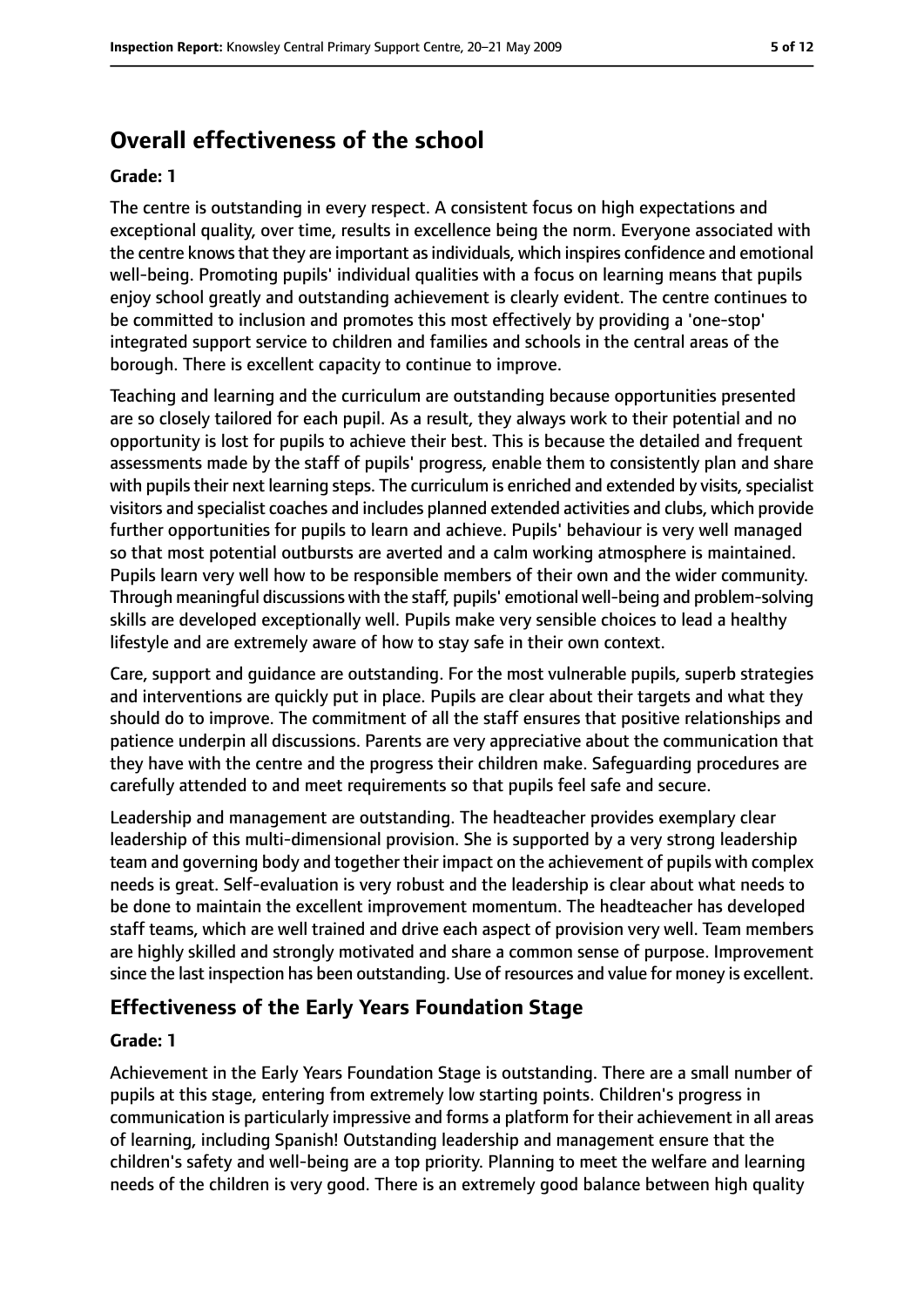# **Overall effectiveness of the school**

#### **Grade: 1**

The centre is outstanding in every respect. A consistent focus on high expectations and exceptional quality, over time, results in excellence being the norm. Everyone associated with the centre knowsthat they are important asindividuals, which inspires confidence and emotional well-being. Promoting pupils' individual qualities with a focus on learning means that pupils enjoy school greatly and outstanding achievement is clearly evident. The centre continues to be committed to inclusion and promotes this most effectively by providing a 'one-stop' integrated support service to children and families and schools in the central areas of the borough. There is excellent capacity to continue to improve.

Teaching and learning and the curriculum are outstanding because opportunities presented are so closely tailored for each pupil. As a result, they always work to their potential and no opportunity is lost for pupils to achieve their best. This is because the detailed and frequent assessments made by the staff of pupils' progress, enable them to consistently plan and share with pupils their next learning steps. The curriculum is enriched and extended by visits, specialist visitors and specialist coaches and includes planned extended activities and clubs, which provide further opportunities for pupils to learn and achieve. Pupils' behaviour is very well managed so that most potential outbursts are averted and a calm working atmosphere is maintained. Pupils learn very well how to be responsible members of their own and the wider community. Through meaningful discussions with the staff, pupils' emotional well-being and problem-solving skills are developed exceptionally well. Pupils make very sensible choices to lead a healthy lifestyle and are extremely aware of how to stay safe in their own context.

Care, support and guidance are outstanding. For the most vulnerable pupils, superb strategies and interventions are quickly put in place. Pupils are clear about their targets and what they should do to improve. The commitment of all the staff ensures that positive relationships and patience underpin all discussions. Parents are very appreciative about the communication that they have with the centre and the progress their children make. Safeguarding procedures are carefully attended to and meet requirements so that pupils feel safe and secure.

Leadership and management are outstanding. The headteacher provides exemplary clear leadership of this multi-dimensional provision. She is supported by a very strong leadership team and governing body and together their impact on the achievement of pupils with complex needs is great. Self-evaluation is very robust and the leadership is clear about what needs to be done to maintain the excellent improvement momentum. The headteacher has developed staff teams, which are well trained and drive each aspect of provision very well. Team members are highly skilled and strongly motivated and share a common sense of purpose. Improvement since the last inspection has been outstanding. Use of resources and value for money is excellent.

## **Effectiveness of the Early Years Foundation Stage**

#### **Grade: 1**

Achievement in the Early Years Foundation Stage is outstanding. There are a small number of pupils at this stage, entering from extremely low starting points. Children's progress in communication is particularly impressive and forms a platform for their achievement in all areas of learning, including Spanish! Outstanding leadership and management ensure that the children's safety and well-being are a top priority. Planning to meet the welfare and learning needs of the children is very good. There is an extremely good balance between high quality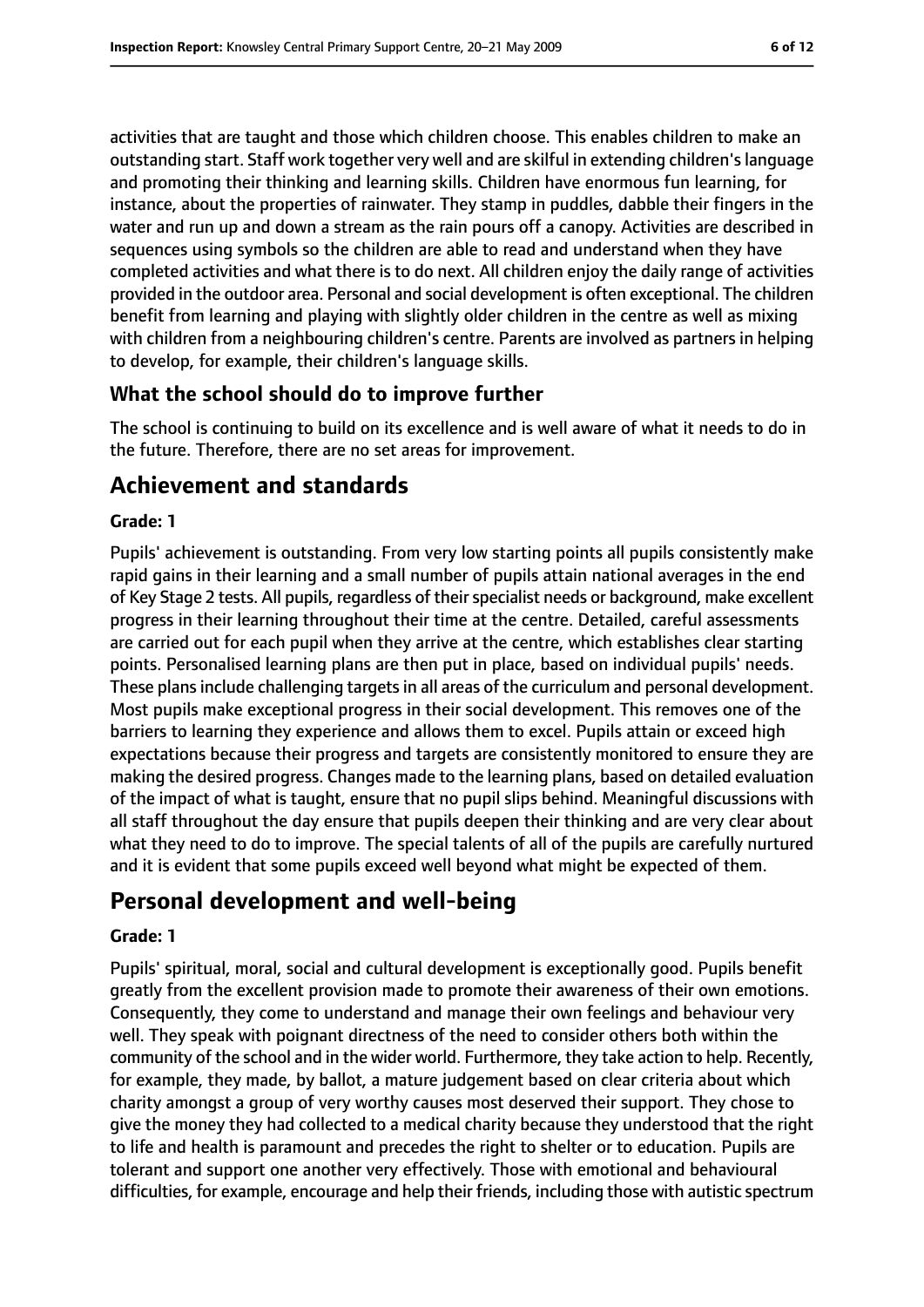activities that are taught and those which children choose. This enables children to make an outstanding start. Staff work together very well and are skilful in extending children'slanguage and promoting their thinking and learning skills. Children have enormous fun learning, for instance, about the properties of rainwater. They stamp in puddles, dabble their fingers in the water and run up and down a stream as the rain pours off a canopy. Activities are described in sequences using symbols so the children are able to read and understand when they have completed activities and what there is to do next. All children enjoy the daily range of activities provided in the outdoor area. Personal and social development is often exceptional. The children benefit from learning and playing with slightly older children in the centre as well as mixing with children from a neighbouring children's centre. Parents are involved as partners in helping to develop, for example, their children's language skills.

# **What the school should do to improve further**

The school is continuing to build on its excellence and is well aware of what it needs to do in the future. Therefore, there are no set areas for improvement.

# **Achievement and standards**

## **Grade: 1**

Pupils' achievement is outstanding. From very low starting points all pupils consistently make rapid gains in their learning and a small number of pupils attain national averages in the end of Key Stage 2 tests. All pupils, regardless of their specialist needs or background, make excellent progress in their learning throughout their time at the centre. Detailed, careful assessments are carried out for each pupil when they arrive at the centre, which establishes clear starting points. Personalised learning plans are then put in place, based on individual pupils' needs. These plans include challenging targets in all areas of the curriculum and personal development. Most pupils make exceptional progress in their social development. This removes one of the barriers to learning they experience and allows them to excel. Pupils attain or exceed high expectations because their progress and targets are consistently monitored to ensure they are making the desired progress. Changes made to the learning plans, based on detailed evaluation of the impact of what is taught, ensure that no pupil slips behind. Meaningful discussions with all staff throughout the day ensure that pupils deepen their thinking and are very clear about what they need to do to improve. The special talents of all of the pupils are carefully nurtured and it is evident that some pupils exceed well beyond what might be expected of them.

# **Personal development and well-being**

## **Grade: 1**

Pupils' spiritual, moral, social and cultural development is exceptionally good. Pupils benefit greatly from the excellent provision made to promote their awareness of their own emotions. Consequently, they come to understand and manage their own feelings and behaviour very well. They speak with poignant directness of the need to consider others both within the community of the school and in the wider world. Furthermore, they take action to help. Recently, for example, they made, by ballot, a mature judgement based on clear criteria about which charity amongst a group of very worthy causes most deserved their support. They chose to give the money they had collected to a medical charity because they understood that the right to life and health is paramount and precedes the right to shelter or to education. Pupils are tolerant and support one another very effectively. Those with emotional and behavioural difficulties, for example, encourage and help their friends, including those with autistic spectrum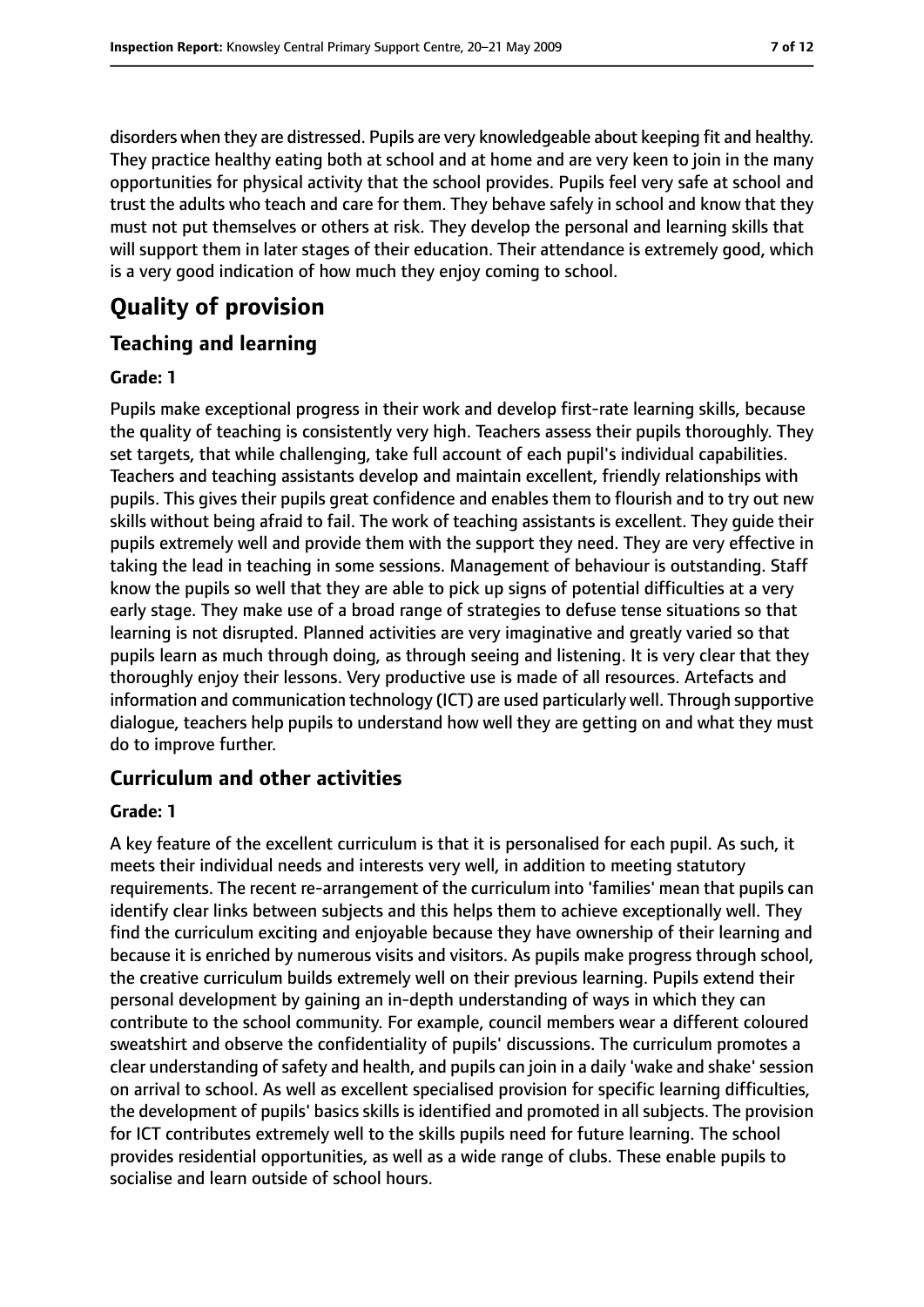disorders when they are distressed. Pupils are very knowledgeable about keeping fit and healthy. They practice healthy eating both at school and at home and are very keen to join in the many opportunities for physical activity that the school provides. Pupils feel very safe at school and trust the adults who teach and care for them. They behave safely in school and know that they must not put themselves or others at risk. They develop the personal and learning skills that will support them in later stages of their education. Their attendance is extremely good, which is a very good indication of how much they enjoy coming to school.

# **Quality of provision**

# **Teaching and learning**

### **Grade: 1**

Pupils make exceptional progress in their work and develop first-rate learning skills, because the quality of teaching is consistently very high. Teachers assess their pupils thoroughly. They set targets, that while challenging, take full account of each pupil's individual capabilities. Teachers and teaching assistants develop and maintain excellent, friendly relationships with pupils. This gives their pupils great confidence and enables them to flourish and to try out new skills without being afraid to fail. The work of teaching assistants is excellent. They guide their pupils extremely well and provide them with the support they need. They are very effective in taking the lead in teaching in some sessions. Management of behaviour is outstanding. Staff know the pupils so well that they are able to pick up signs of potential difficulties at a very early stage. They make use of a broad range of strategies to defuse tense situations so that learning is not disrupted. Planned activities are very imaginative and greatly varied so that pupils learn as much through doing, as through seeing and listening. It is very clear that they thoroughly enjoy their lessons. Very productive use is made of all resources. Artefacts and information and communication technology (ICT) are used particularly well. Through supportive dialogue, teachers help pupils to understand how well they are getting on and what they must do to improve further.

# **Curriculum and other activities**

## **Grade: 1**

A key feature of the excellent curriculum is that it is personalised for each pupil. As such, it meets their individual needs and interests very well, in addition to meeting statutory requirements. The recent re-arrangement of the curriculum into 'families' mean that pupils can identify clear links between subjects and this helps them to achieve exceptionally well. They find the curriculum exciting and enjoyable because they have ownership of their learning and because it is enriched by numerous visits and visitors. As pupils make progress through school, the creative curriculum builds extremely well on their previous learning. Pupils extend their personal development by gaining an in-depth understanding of ways in which they can contribute to the school community. For example, council members wear a different coloured sweatshirt and observe the confidentiality of pupils' discussions. The curriculum promotes a clear understanding of safety and health, and pupils can join in a daily 'wake and shake' session on arrival to school. As well as excellent specialised provision for specific learning difficulties, the development of pupils' basics skills is identified and promoted in all subjects. The provision for ICT contributes extremely well to the skills pupils need for future learning. The school provides residential opportunities, as well as a wide range of clubs. These enable pupils to socialise and learn outside of school hours.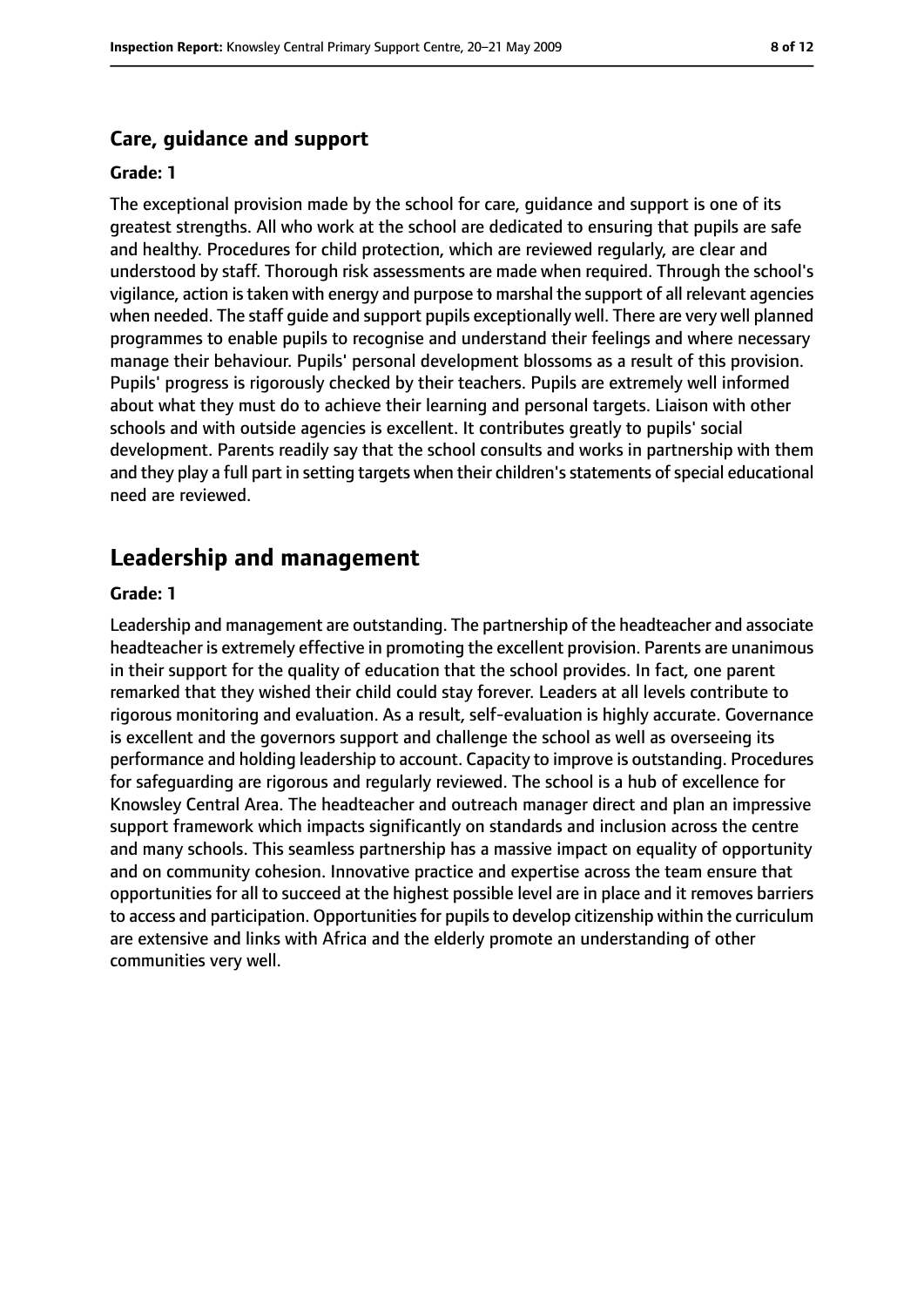#### **Care, guidance and support**

#### **Grade: 1**

The exceptional provision made by the school for care, guidance and support is one of its greatest strengths. All who work at the school are dedicated to ensuring that pupils are safe and healthy. Procedures for child protection, which are reviewed regularly, are clear and understood by staff. Thorough risk assessments are made when required. Through the school's vigilance, action istaken with energy and purpose to marshal the support of all relevant agencies when needed. The staff guide and support pupils exceptionally well. There are very well planned programmes to enable pupils to recognise and understand their feelings and where necessary manage their behaviour. Pupils' personal development blossoms as a result of this provision. Pupils' progress is rigorously checked by their teachers. Pupils are extremely well informed about what they must do to achieve their learning and personal targets. Liaison with other schools and with outside agencies is excellent. It contributes greatly to pupils' social development. Parents readily say that the school consults and works in partnership with them and they play a full part in setting targets when their children's statements of special educational need are reviewed.

#### **Leadership and management**

#### **Grade: 1**

Leadership and management are outstanding. The partnership of the headteacher and associate headteacher is extremely effective in promoting the excellent provision. Parents are unanimous in their support for the quality of education that the school provides. In fact, one parent remarked that they wished their child could stay forever. Leaders at all levels contribute to rigorous monitoring and evaluation. As a result, self-evaluation is highly accurate. Governance is excellent and the governors support and challenge the school as well as overseeing its performance and holding leadership to account. Capacity to improve is outstanding. Procedures for safeguarding are rigorous and regularly reviewed. The school is a hub of excellence for Knowsley Central Area. The headteacher and outreach manager direct and plan an impressive support framework which impacts significantly on standards and inclusion across the centre and many schools. This seamless partnership has a massive impact on equality of opportunity and on community cohesion. Innovative practice and expertise across the team ensure that opportunities for all to succeed at the highest possible level are in place and it removes barriers to access and participation. Opportunities for pupils to develop citizenship within the curriculum are extensive and links with Africa and the elderly promote an understanding of other communities very well.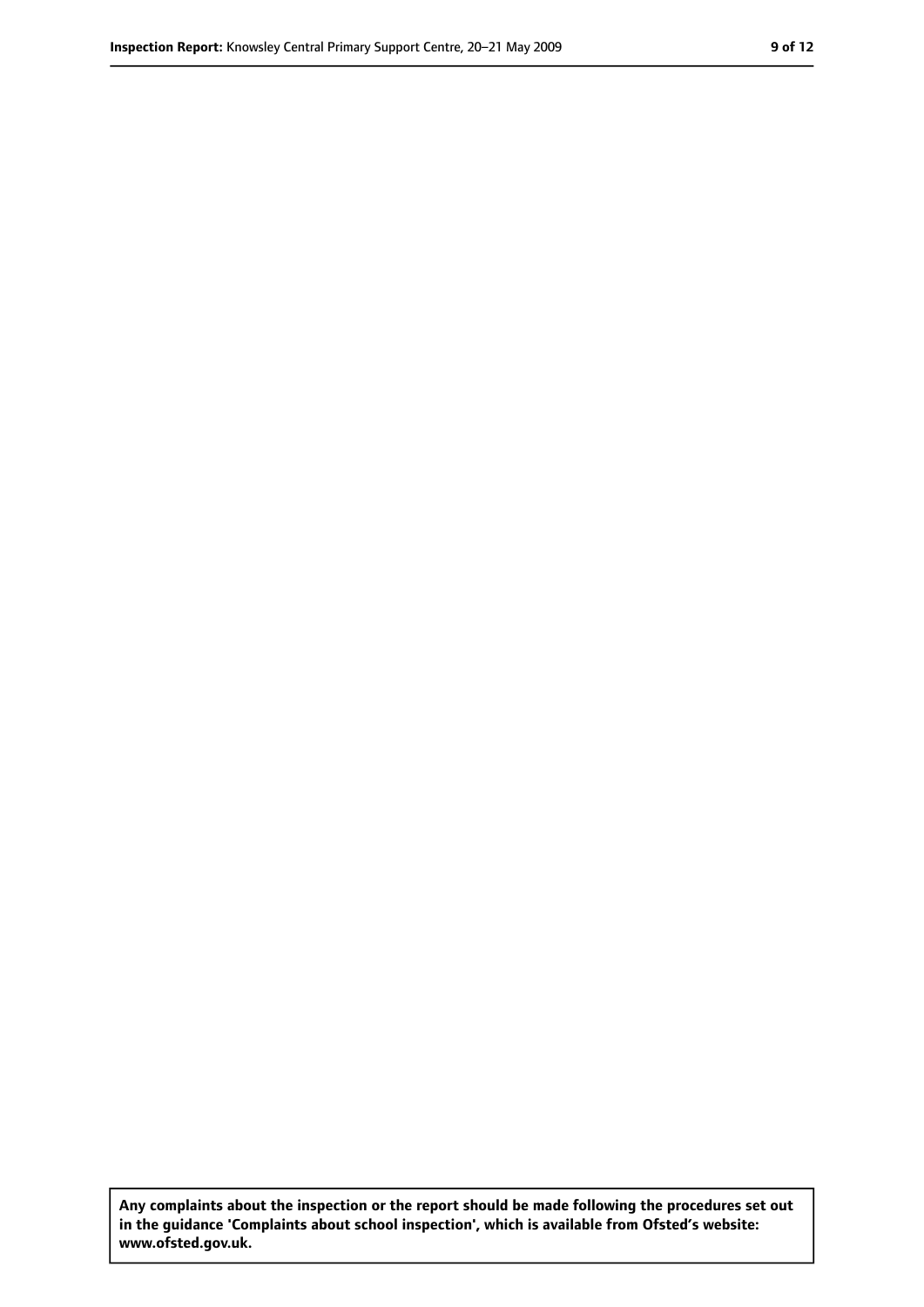**Any complaints about the inspection or the report should be made following the procedures set out in the guidance 'Complaints about school inspection', which is available from Ofsted's website: www.ofsted.gov.uk.**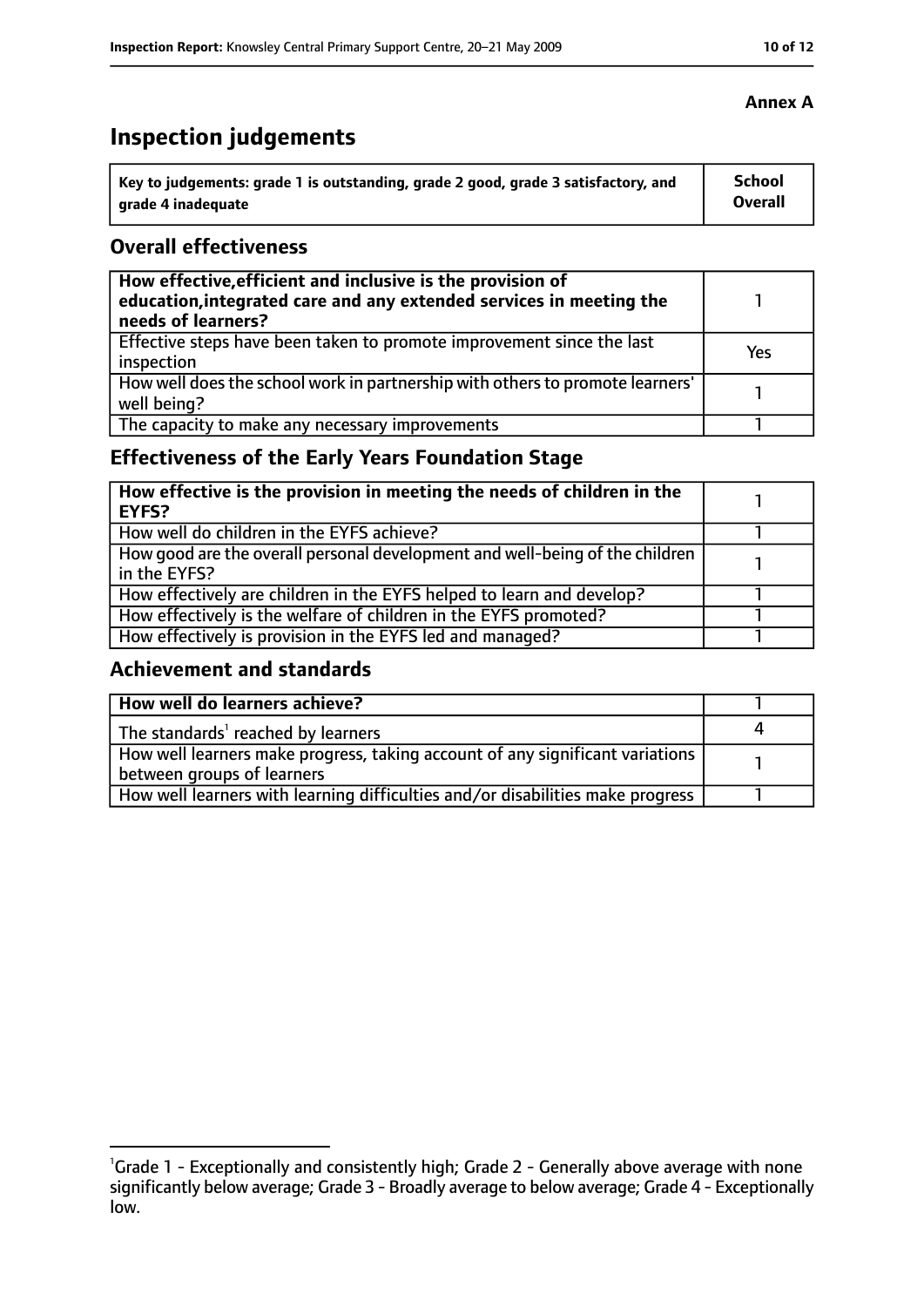# **Inspection judgements**

| Key to judgements: grade 1 is outstanding, grade 2 good, grade 3 satisfactory, and | <b>School</b> |
|------------------------------------------------------------------------------------|---------------|
| arade 4 inadequate                                                                 | Overall       |

## **Overall effectiveness**

| How effective, efficient and inclusive is the provision of<br>education, integrated care and any extended services in meeting the<br>needs of learners? |     |
|---------------------------------------------------------------------------------------------------------------------------------------------------------|-----|
| Effective steps have been taken to promote improvement since the last<br>inspection                                                                     | Yes |
| How well does the school work in partnership with others to promote learners'<br>well being?                                                            |     |
| The capacity to make any necessary improvements                                                                                                         |     |

# **Effectiveness of the Early Years Foundation Stage**

| How effective is the provision in meeting the needs of children in the<br>l EYFS?            |  |
|----------------------------------------------------------------------------------------------|--|
| How well do children in the EYFS achieve?                                                    |  |
| How good are the overall personal development and well-being of the children<br>in the EYFS? |  |
| How effectively are children in the EYFS helped to learn and develop?                        |  |
| How effectively is the welfare of children in the EYFS promoted?                             |  |
| How effectively is provision in the EYFS led and managed?                                    |  |

# **Achievement and standards**

| How well do learners achieve?                                                  |  |
|--------------------------------------------------------------------------------|--|
| The standards <sup>1</sup> reached by learners                                 |  |
| How well learners make progress, taking account of any significant variations  |  |
| between groups of learners                                                     |  |
| How well learners with learning difficulties and/or disabilities make progress |  |

# **Annex A**

<sup>&</sup>lt;sup>1</sup>Grade 1 - Exceptionally and consistently high; Grade 2 - Generally above average with none significantly below average; Grade 3 - Broadly average to below average; Grade 4 - Exceptionally low.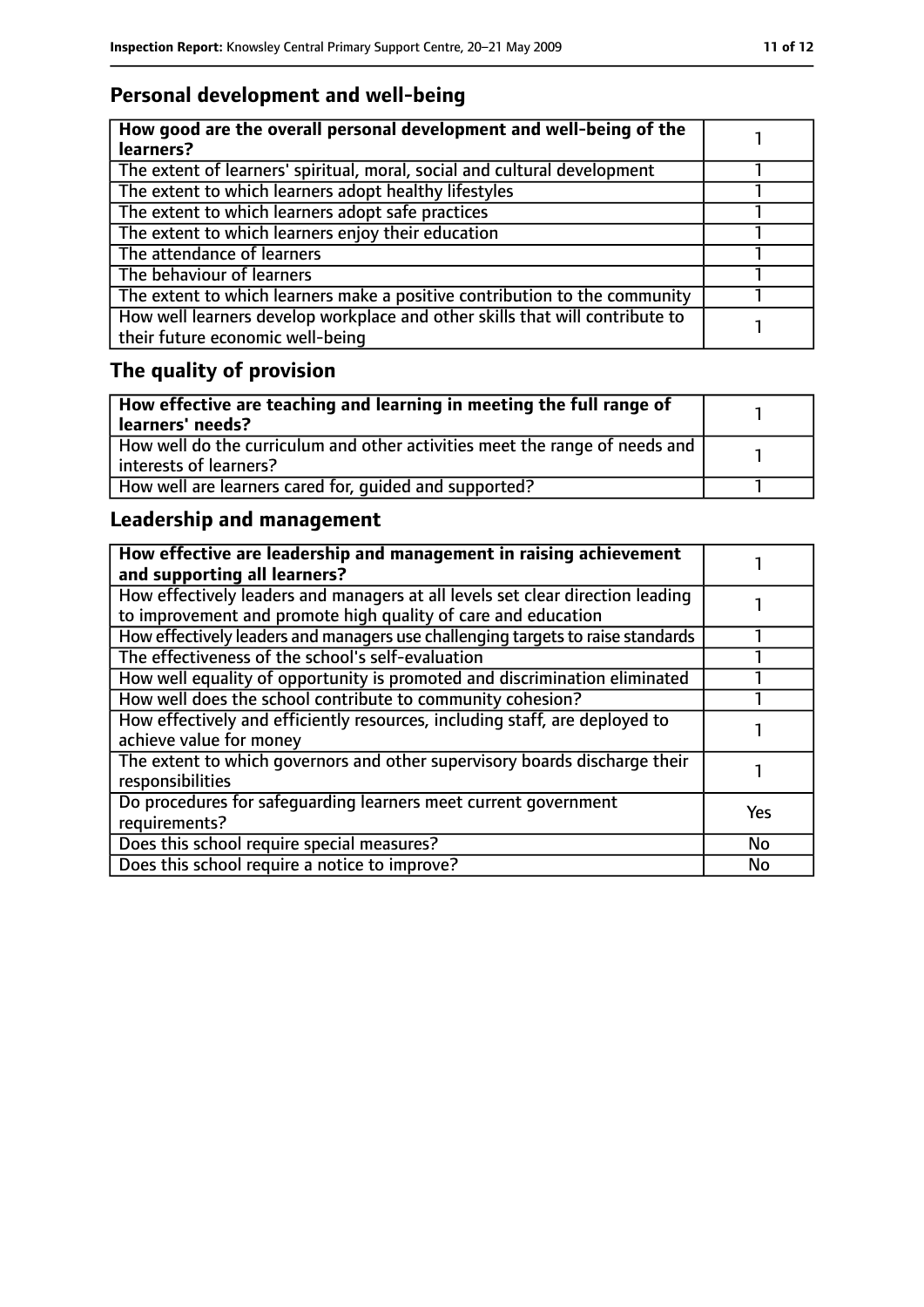# **Personal development and well-being**

| How good are the overall personal development and well-being of the<br>learners?                                 |  |
|------------------------------------------------------------------------------------------------------------------|--|
| The extent of learners' spiritual, moral, social and cultural development                                        |  |
| The extent to which learners adopt healthy lifestyles                                                            |  |
| The extent to which learners adopt safe practices                                                                |  |
| The extent to which learners enjoy their education                                                               |  |
| The attendance of learners                                                                                       |  |
| The behaviour of learners                                                                                        |  |
| The extent to which learners make a positive contribution to the community                                       |  |
| How well learners develop workplace and other skills that will contribute to<br>their future economic well-being |  |

# **The quality of provision**

| How effective are teaching and learning in meeting the full range of<br>learners' needs?              |  |
|-------------------------------------------------------------------------------------------------------|--|
| How well do the curriculum and other activities meet the range of needs and<br>interests of learners? |  |
| How well are learners cared for, quided and supported?                                                |  |

# **Leadership and management**

| How effective are leadership and management in raising achievement<br>and supporting all learners?                                              |            |
|-------------------------------------------------------------------------------------------------------------------------------------------------|------------|
| How effectively leaders and managers at all levels set clear direction leading<br>to improvement and promote high quality of care and education |            |
| How effectively leaders and managers use challenging targets to raise standards                                                                 |            |
| The effectiveness of the school's self-evaluation                                                                                               |            |
| How well equality of opportunity is promoted and discrimination eliminated                                                                      |            |
| How well does the school contribute to community cohesion?                                                                                      |            |
| How effectively and efficiently resources, including staff, are deployed to<br>achieve value for money                                          |            |
| The extent to which governors and other supervisory boards discharge their<br>responsibilities                                                  |            |
| Do procedures for safequarding learners meet current government<br>requirements?                                                                | <b>Yes</b> |
| Does this school require special measures?                                                                                                      | <b>No</b>  |
| Does this school require a notice to improve?                                                                                                   | No         |